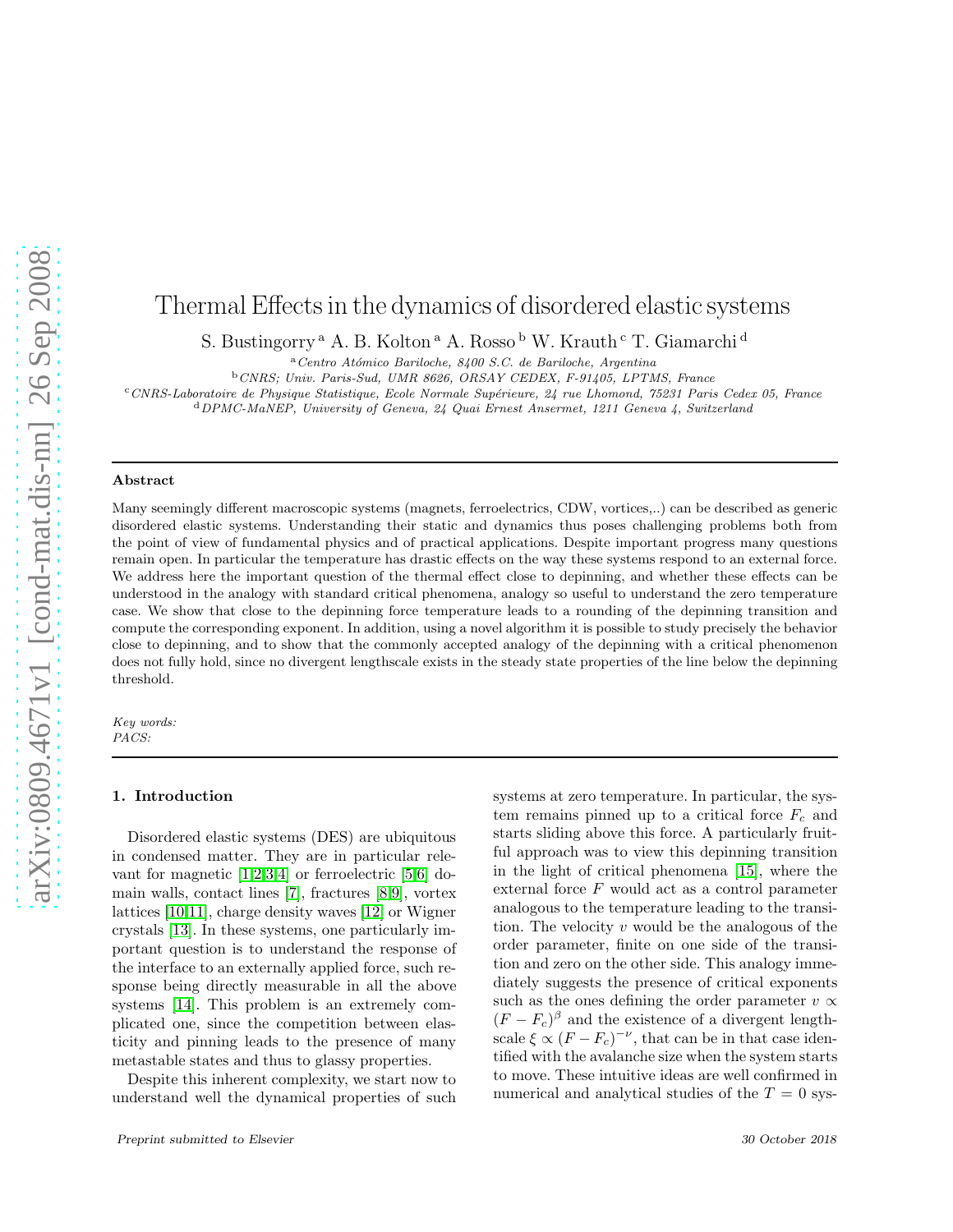# Thermal Effects in the dynamics of disordered elastic systems

S. Bustingorry<sup>a</sup> A. B. Kolton<sup>a</sup> A. Rosso<sup>b</sup> W. Krauth<sup>c</sup> T. Giamarchi<sup>d</sup>

<sup>a</sup>*Centro At´omico Bariloche, 8400 S.C. de Bariloche, Argentina*

<sup>b</sup>*CNRS; Univ. Paris-Sud, UMR 8626, ORSAY CEDEX, F-91405, LPTMS, France*

<sup>c</sup>*CNRS-Laboratoire de Physique Statistique, Ecole Normale Sup´erieure, 24 rue Lhomond, 75231 Paris Cedex 05, France*

<sup>d</sup>*DPMC-MaNEP, University of Geneva, 24 Quai Ernest Ansermet, 1211 Geneva 4, Switzerland*

#### Abstract

Many seemingly different macroscopic systems (magnets, ferroelectrics, CDW, vortices,..) can be described as generic disordered elastic systems. Understanding their static and dynamics thus poses challenging problems both from the point of view of fundamental physics and of practical applications. Despite important progress many questions remain open. In particular the temperature has drastic effects on the way these systems respond to an external force. We address here the important question of the thermal effect close to depinning, and whether these effects can be understood in the analogy with standard critical phenomena, analogy so useful to understand the zero temperature case. We show that close to the depinning force temperature leads to a rounding of the depinning transition and compute the corresponding exponent. In addition, using a novel algorithm it is possible to study precisely the behavior close to depinning, and to show that the commonly accepted analogy of the depinning with a critical phenomenon does not fully hold, since no divergent lengthscale exists in the steady state properties of the line below the depinning threshold.

*Key words: PACS:*

#### 1. Introduction

Disordered elastic systems (DES) are ubiquitous in condensed matter. They are in particular relevant for magnetic  $[1,2,3,4]$  $[1,2,3,4]$  $[1,2,3,4]$  $[1,2,3,4]$  or ferroelectric  $[5,6]$  $[5,6]$  domain walls, contact lines [\[7\]](#page-3-6), fractures [\[8,](#page-3-7)[9\]](#page-3-8), vortex lattices [\[10](#page-3-9)[,11\]](#page-3-10), charge density waves [\[12\]](#page-3-11) or Wigner crystals [\[13\]](#page-3-12). In these systems, one particularly important question is to understand the response of the interface to an externally applied force, such response being directly measurable in all the above systems [\[14\]](#page-3-13). This problem is an extremely complicated one, since the competition between elasticity and pinning leads to the presence of many metastable states and thus to glassy properties.

Despite this inherent complexity, we start now to understand well the dynamical properties of such

systems at zero temperature. In particular, the system remains pinned up to a critical force  $F_c$  and starts sliding above this force. A particularly fruitful approach was to view this depinning transition in the light of critical phenomena [\[15\]](#page-3-14), where the external force F would act as a control parameter analogous to the temperature leading to the transition. The velocity  $v$  would be the analogous of the order parameter, finite on one side of the transition and zero on the other side. This analogy immediately suggests the presence of critical exponents such as the ones defining the order parameter  $v \propto$  $(F - F_c)^{\beta}$  and the existence of a divergent lengthscale  $\xi \propto (F - F_c)^{-\nu}$ , that can be in that case identified with the avalanche size when the system starts to move. These intuitive ideas are well confirmed in numerical and analytical studies of the  $T = 0$  sys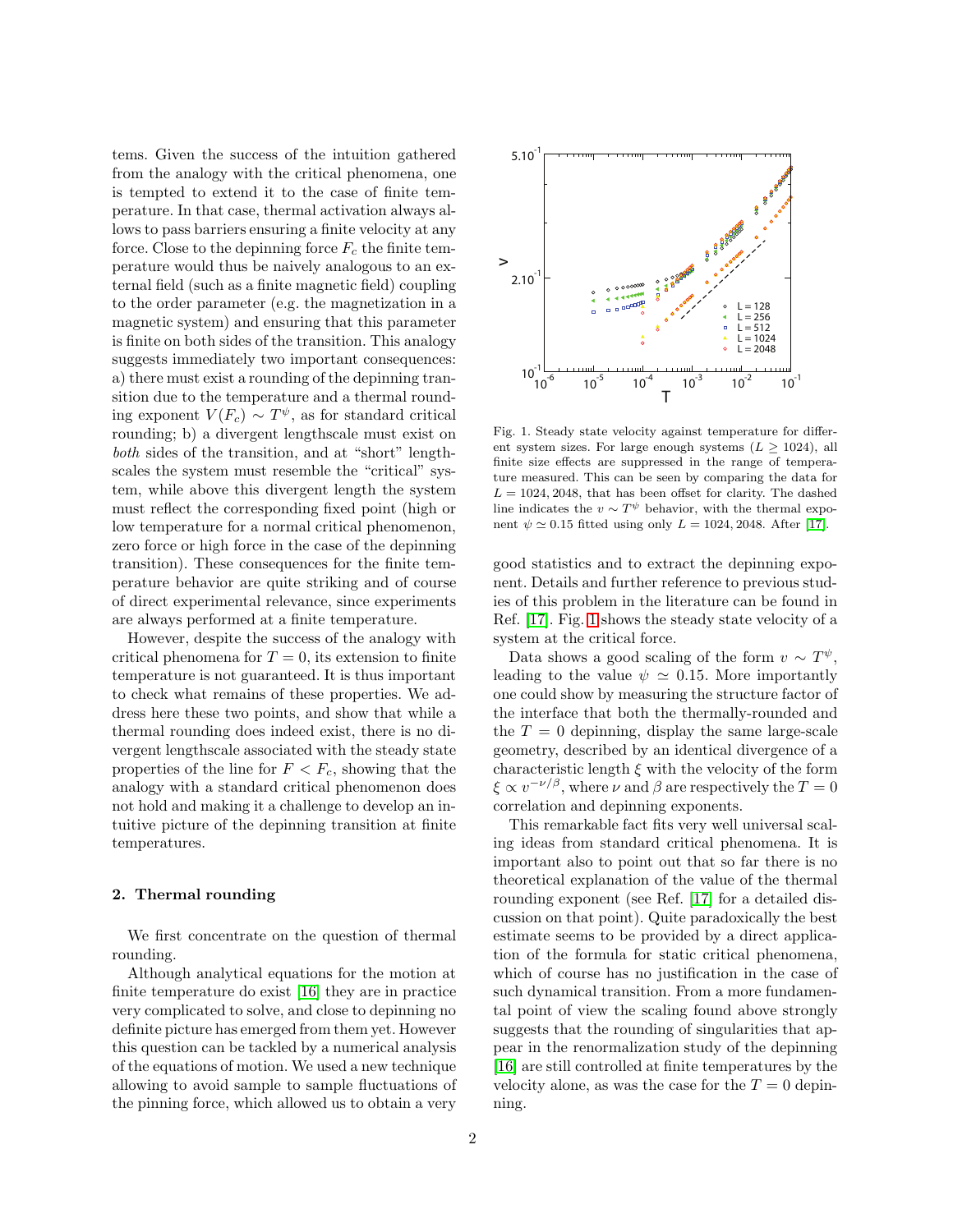tems. Given the success of the intuition gathered from the analogy with the critical phenomena, one is tempted to extend it to the case of finite temperature. In that case, thermal activation always allows to pass barriers ensuring a finite velocity at any force. Close to the depinning force  $F_c$  the finite temperature would thus be naively analogous to an external field (such as a finite magnetic field) coupling to the order parameter (e.g. the magnetization in a magnetic system) and ensuring that this parameter is finite on both sides of the transition. This analogy suggests immediately two important consequences: a) there must exist a rounding of the depinning transition due to the temperature and a thermal rounding exponent  $V(F_c) \sim T^{\psi}$ , as for standard critical rounding; b) a divergent lengthscale must exist on both sides of the transition, and at "short" lengthscales the system must resemble the "critical" system, while above this divergent length the system must reflect the corresponding fixed point (high or low temperature for a normal critical phenomenon, zero force or high force in the case of the depinning transition). These consequences for the finite temperature behavior are quite striking and of course of direct experimental relevance, since experiments are always performed at a finite temperature.

However, despite the success of the analogy with critical phenomena for  $T = 0$ , its extension to finite temperature is not guaranteed. It is thus important to check what remains of these properties. We address here these two points, and show that while a thermal rounding does indeed exist, there is no divergent lengthscale associated with the steady state properties of the line for  $F < F_c$ , showing that the analogy with a standard critical phenomenon does not hold and making it a challenge to develop an intuitive picture of the depinning transition at finite temperatures.

### 2. Thermal rounding

We first concentrate on the question of thermal rounding.

Although analytical equations for the motion at finite temperature do exist [\[16\]](#page-3-15) they are in practice very complicated to solve, and close to depinning no definite picture has emerged from them yet. However this question can be tackled by a numerical analysis of the equations of motion. We used a new technique allowing to avoid sample to sample fluctuations of the pinning force, which allowed us to obtain a very



<span id="page-1-0"></span>Fig. 1. Steady state velocity against temperature for different system sizes. For large enough systems  $(L \ge 1024)$ , all finite size effects are suppressed in the range of temperature measured. This can be seen by comparing the data for  $L = 1024, 2048$ , that has been offset for clarity. The dashed line indicates the  $v \sim T^{\psi}$  behavior, with the thermal exponent  $\psi \simeq 0.15$  fitted using only  $L = 1024, 2048$ . After [\[17\]](#page-3-16).

good statistics and to extract the depinning exponent. Details and further reference to previous studies of this problem in the literature can be found in Ref. [\[17\]](#page-3-16). Fig. [1](#page-1-0) shows the steady state velocity of a system at the critical force.

Data shows a good scaling of the form  $v \sim T^{\psi}$ , leading to the value  $\psi \simeq 0.15$ . More importantly one could show by measuring the structure factor of the interface that both the thermally-rounded and the  $T = 0$  depinning, display the same large-scale geometry, described by an identical divergence of a characteristic length  $\xi$  with the velocity of the form  $\xi \propto v^{-\nu/\beta}$ , where  $\nu$  and  $\beta$  are respectively the  $T = 0$ correlation and depinning exponents.

This remarkable fact fits very well universal scaling ideas from standard critical phenomena. It is important also to point out that so far there is no theoretical explanation of the value of the thermal rounding exponent (see Ref. [\[17\]](#page-3-16) for a detailed discussion on that point). Quite paradoxically the best estimate seems to be provided by a direct application of the formula for static critical phenomena, which of course has no justification in the case of such dynamical transition. From a more fundamental point of view the scaling found above strongly suggests that the rounding of singularities that appear in the renormalization study of the depinning [\[16\]](#page-3-15) are still controlled at finite temperatures by the velocity alone, as was the case for the  $T = 0$  depinning.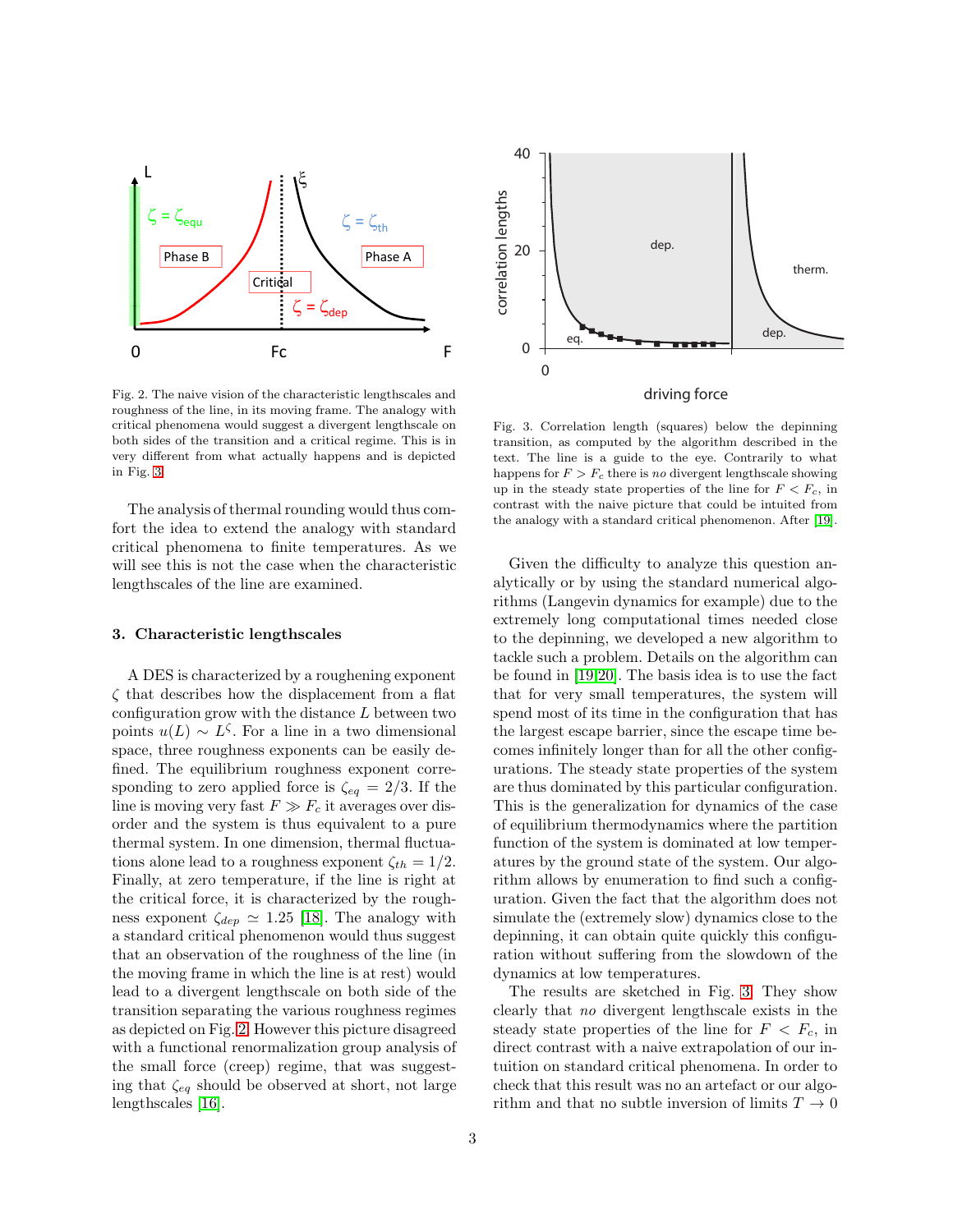

<span id="page-2-1"></span>Fig. 2. The naive vision of the characteristic lengthscales and roughness of the line, in its moving frame. The analogy with critical phenomena would suggest a divergent lengthscale on both sides of the transition and a critical regime. This is in very different from what actually happens and is depicted in Fig. [3.](#page-2-0)

The analysis of thermal rounding would thus comfort the idea to extend the analogy with standard critical phenomena to finite temperatures. As we will see this is not the case when the characteristic lengthscales of the line are examined.

## 3. Characteristic lengthscales

A DES is characterized by a roughening exponent  $\zeta$  that describes how the displacement from a flat configuration grow with the distance  $L$  between two points  $u(L) \sim L^{\zeta}$ . For a line in a two dimensional space, three roughness exponents can be easily defined. The equilibrium roughness exponent corresponding to zero applied force is  $\zeta_{eq} = 2/3$ . If the line is moving very fast  $F \gg F_c$  it averages over disorder and the system is thus equivalent to a pure thermal system. In one dimension, thermal fluctuations alone lead to a roughness exponent  $\zeta_{th} = 1/2$ . Finally, at zero temperature, if the line is right at the critical force, it is characterized by the roughness exponent  $\zeta_{dep} \simeq 1.25$  [\[18\]](#page-3-17). The analogy with a standard critical phenomenon would thus suggest that an observation of the roughness of the line (in the moving frame in which the line is at rest) would lead to a divergent lengthscale on both side of the transition separating the various roughness regimes as depicted on Fig. [2.](#page-2-1) However this picture disagreed with a functional renormalization group analysis of the small force (creep) regime, that was suggesting that  $\zeta_{eq}$  should be observed at short, not large lengthscales [\[16\]](#page-3-15).



<span id="page-2-0"></span>Fig. 3. Correlation length (squares) below the depinning transition, as computed by the algorithm described in the text. The line is a guide to the eye. Contrarily to what happens for  $F > F_c$  there is *no* divergent lengthscale showing up in the steady state properties of the line for  $F < F_c$ , in contrast with the naive picture that could be intuited from the analogy with a standard critical phenomenon. After [\[19\]](#page-3-18).

Given the difficulty to analyze this question analytically or by using the standard numerical algorithms (Langevin dynamics for example) due to the extremely long computational times needed close to the depinning, we developed a new algorithm to tackle such a problem. Details on the algorithm can be found in [\[19,](#page-3-18)[20\]](#page-3-19). The basis idea is to use the fact that for very small temperatures, the system will spend most of its time in the configuration that has the largest escape barrier, since the escape time becomes infinitely longer than for all the other configurations. The steady state properties of the system are thus dominated by this particular configuration. This is the generalization for dynamics of the case of equilibrium thermodynamics where the partition function of the system is dominated at low temperatures by the ground state of the system. Our algorithm allows by enumeration to find such a configuration. Given the fact that the algorithm does not simulate the (extremely slow) dynamics close to the depinning, it can obtain quite quickly this configuration without suffering from the slowdown of the dynamics at low temperatures.

The results are sketched in Fig. [3.](#page-2-0) They show clearly that no divergent lengthscale exists in the steady state properties of the line for  $F < F_c$ , in direct contrast with a naive extrapolation of our intuition on standard critical phenomena. In order to check that this result was no an artefact or our algorithm and that no subtle inversion of limits  $T \to 0$